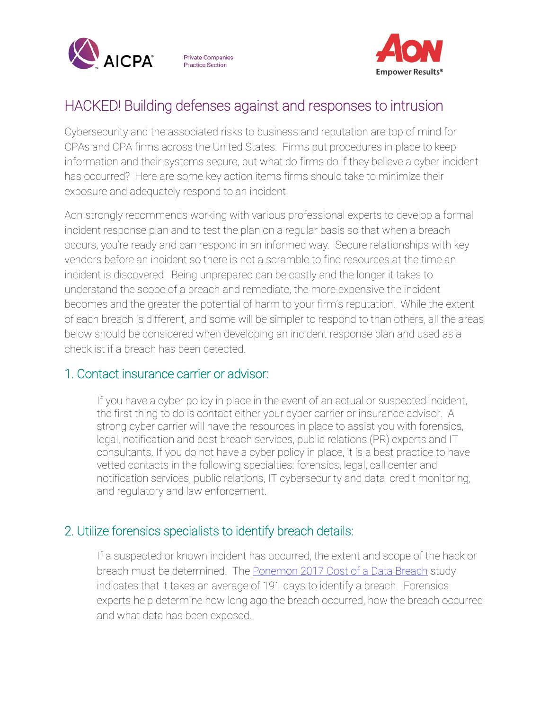

**Private Companies Practice Section** 



# HACKED! Building defenses against and responses to intrusion

Cybersecurity and the associated risks to business and reputation are top of mind for CPAs and CPA firms across the United States. Firms put procedures in place to keep information and their systems secure, but what do firms do if they believe a cyber incident has occurred? Here are some key action items firms should take to minimize their exposure and adequately respond to an incident.

Aon strongly recommends working with various professional experts to develop a formal incident response plan and to test the plan on a regular basis so that when a breach occurs, you're ready and can respond in an informed way. Secure relationships with key vendors before an incident so there is not a scramble to find resources at the time an incident is discovered. Being unprepared can be costly and the longer it takes to understand the scope of a breach and remediate, the more expensive the incident becomes and the greater the potential of harm to your firm's reputation. While the extent of each breach is different, and some will be simpler to respond to than others, all the areas below should be considered when developing an incident response plan and used as a checklist if a breach has been detected.

## 1. Contact insurance carrier or advisor:

If you have a cyber policy in place in the event of an actual or suspected incident, the first thing to do is contact either your cyber carrier or insurance advisor. A strong cyber carrier will have the resources in place to assist you with forensics, legal, notification and post breach services, public relations (PR) experts and IT consultants. If you do not have a cyber policy in place, it is a best practice to have vetted contacts in the following specialties: forensics, legal, call center and notification services, public relations, IT cybersecurity and data, credit monitoring, and regulatory and law enforcement.

## 2. Utilize forensics specialists to identify breach details:

If a suspected or known incident has occurred, the extent and scope of the hack or breach must be determined. The [Ponemon 2017 Cost of a Data Breach](https://www.ibm.com/downloads/cas/ZYKLN2E3) study indicates that it takes an average of 191 days to identify a breach. Forensics experts help determine how long ago the breach occurred, how the breach occurred and what data has been exposed.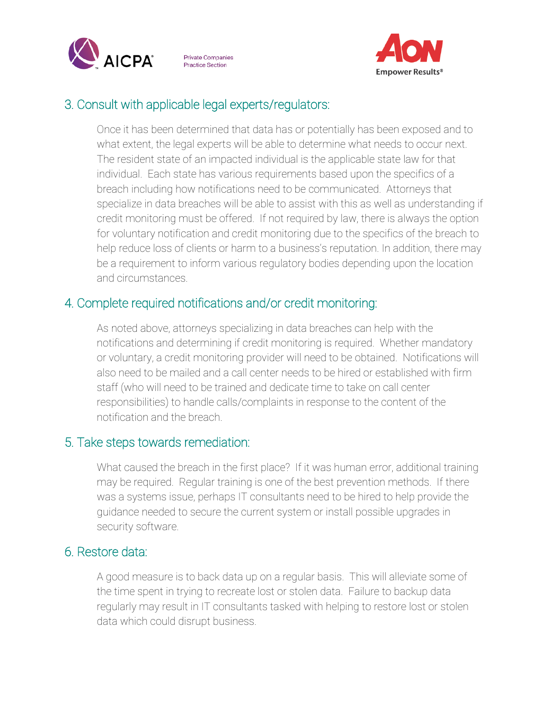

**Private Companies Practice Section** 



# 3. Consult with applicable legal experts/regulators:

Once it has been determined that data has or potentially has been exposed and to what extent, the legal experts will be able to determine what needs to occur next. The resident state of an impacted individual is the applicable state law for that individual. Each state has various requirements based upon the specifics of a breach including how notifications need to be communicated. Attorneys that specialize in data breaches will be able to assist with this as well as understanding if credit monitoring must be offered. If not required by law, there is always the option for voluntary notification and credit monitoring due to the specifics of the breach to help reduce loss of clients or harm to a business's reputation. In addition, there may be a requirement to inform various regulatory bodies depending upon the location and circumstances.

# 4. Complete required notifications and/or credit monitoring:

As noted above, attorneys specializing in data breaches can help with the notifications and determining if credit monitoring is required. Whether mandatory or voluntary, a credit monitoring provider will need to be obtained. Notifications will also need to be mailed and a call center needs to be hired or established with firm staff (who will need to be trained and dedicate time to take on call center responsibilities) to handle calls/complaints in response to the content of the notification and the breach.

## 5. Take steps towards remediation:

What caused the breach in the first place? If it was human error, additional training may be required. Regular training is one of the best prevention methods. If there was a systems issue, perhaps IT consultants need to be hired to help provide the guidance needed to secure the current system or install possible upgrades in security software.

#### 6. Restore data:

A good measure is to back data up on a regular basis. This will alleviate some of the time spent in trying to recreate lost or stolen data. Failure to backup data regularly may result in IT consultants tasked with helping to restore lost or stolen data which could disrupt business.